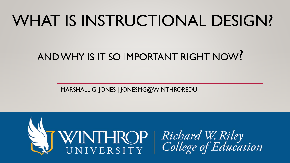## WHAT IS INSTRUCTIONAL DESIGN?

#### AND WHY IS IT SO IMPORTANT RIGHT NOW?

MARSHALL G. JONES | JONESMG@WINTHROP.EDU

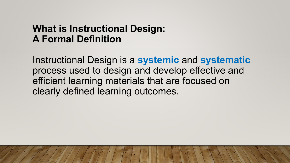#### **What is Instructional Design: A Formal Definition**

Instructional Design is a **systemic** and **systematic** process used to design and develop effective and efficient learning materials that are focused on clearly defined learning outcomes.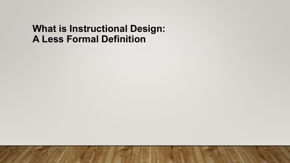#### **What is Instructional Design: A Less Formal Definition**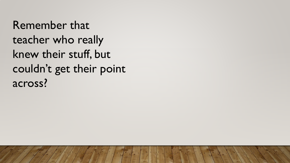Remember that teacher who really knew their stuff, but couldn't get their point across?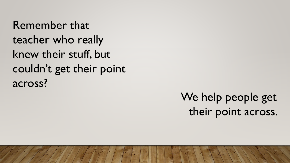Remember that teacher who really knew their stuff, but couldn't get their point across?

> We help people get their point across.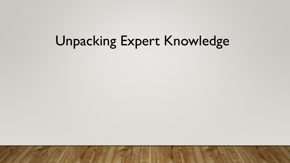## Unpacking Expert Knowledge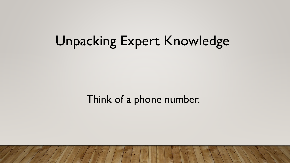## Unpacking Expert Knowledge

Think of a phone number.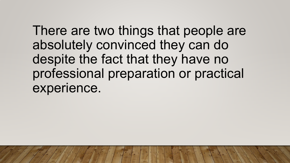There are two things that people are absolutely convinced they can do despite the fact that they have no professional preparation or practical experience.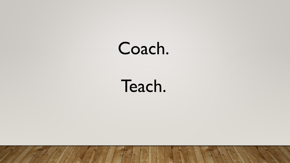## Coach.

## Teach.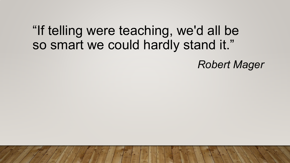#### "If telling were teaching, we'd all be so smart we could hardly stand it."

*Robert Mager*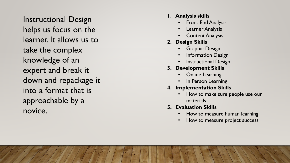Instructional Design helps us focus on the learner. It allows us to take the complex knowledge of an expert and break it down and repackage it into a format that is approachable by a novice.

- **1. Analysis skills**
	- **Front End Analysis**
	- Learner Analysis
	- **Content Analysis**
- **2. Design Skills**
	- Graphic Design
	- **Information Design**
	- **Instructional Design**
- **3. Development Skills**
	- Online Learning
	- In Person Learning
- **4. Implementation Skills**
	- How to make sure people use our materials
- **5. Evaluation Skills** 
	- How to measure human learning
	- How to measure project success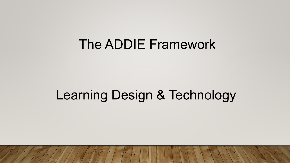#### The ADDIE Framework

### Learning Design & Technology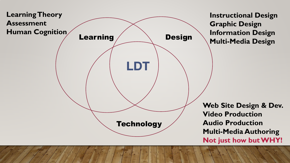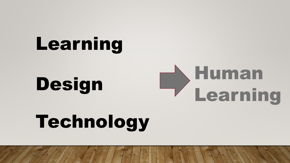# Learning

Design

# Human Learning

# Technology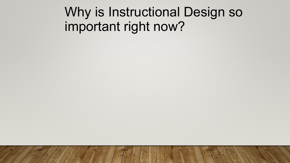### Why is Instructional Design so important right now?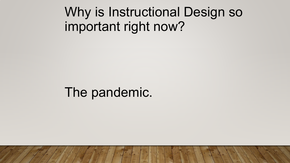### Why is Instructional Design so important right now?

#### The pandemic.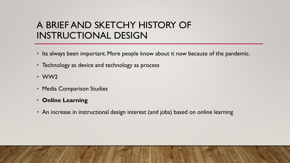#### A BRIEF AND SKETCHY HISTORY OF INSTRUCTIONAL DESIGN

- Its always been important. More people know about it now because of the pandemic.
- Technology as device and technology as process
- WW2
- Media Comparison Studies
- **Online Learning**
- An increase in instructional design interest (and jobs) based on online learning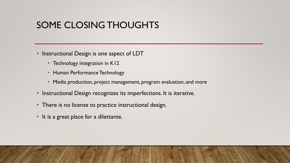#### SOME CLOSING THOUGHTS

- Instructional Design is one aspect of LDT
	- Technology integration in K12
	- Human Performance Technology
	- Media production, project management, program evaluation, and more
- Instructional Design recognizes its imperfections. It is iterative.
- There is no license to practice instructional design.
- It is a great place for a dilettante.